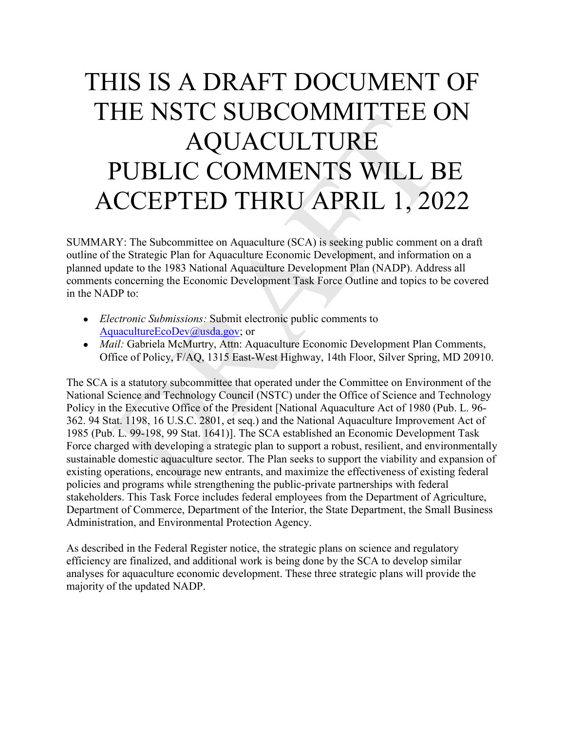## THIS IS A DRAFT DOCUMENT OF PUBLIC COMMENTS WILL BE THE NSTC SUBCOMMITTEE ON AQUACULTURE ACCEPTED THRU APRIL 1, 2022

SUMMARY: The Subcommittee on Aquaculture (SCA) is seeking public comment on a draft outline of the Strategic Plan for Aquaculture Economic Development, and information on a planned update to the 1983 National Aquaculture Development Plan (NADP). Address all comments concerning the Economic Development Task Force Outline and topics to be covered in the NADP to:

- *Electronic Submissions:* Submit electronic public comments to [AquacultureEcoDev@usda.gov;](mailto:AquacultureEcoDev@usda.gov) or
- *Mail: Gabriela McMurtry, Attn: Aquaculture Economic Development Plan Comments,* Office of Policy, F/AQ, 1315 East-West Highway, 14th Floor, Silver Spring, MD 20910.

 policies and programs while strengthening the public-private partnerships with federal The SCA is a statutory subcommittee that operated under the Committee on Environment of the National Science and Technology Council (NSTC) under the Office of Science and Technology Policy in the Executive Office of the President [National Aquaculture Act of 1980 (Pub. L. 96- 362. 94 Stat. 1198, 16 U.S.C. 2801, et seq.) and the National Aquaculture Improvement Act of 1985 (Pub. L. 99-198, 99 Stat. 1641)]. The SCA established an Economic Development Task Force charged with developing a strategic plan to support a robust, resilient, and environmentally sustainable domestic aquaculture sector. The Plan seeks to support the viability and expansion of existing operations, encourage new entrants, and maximize the effectiveness of existing federal stakeholders. This Task Force includes federal employees from the Department of Agriculture, Department of Commerce, Department of the Interior, the State Department, the Small Business Administration, and Environmental Protection Agency.

 analyses for aquaculture economic development. These three strategic plans will provide the As described in the Federal Register notice, the strategic plans on science and regulatory efficiency are finalized, and additional work is being done by the SCA to develop similar majority of the updated NADP.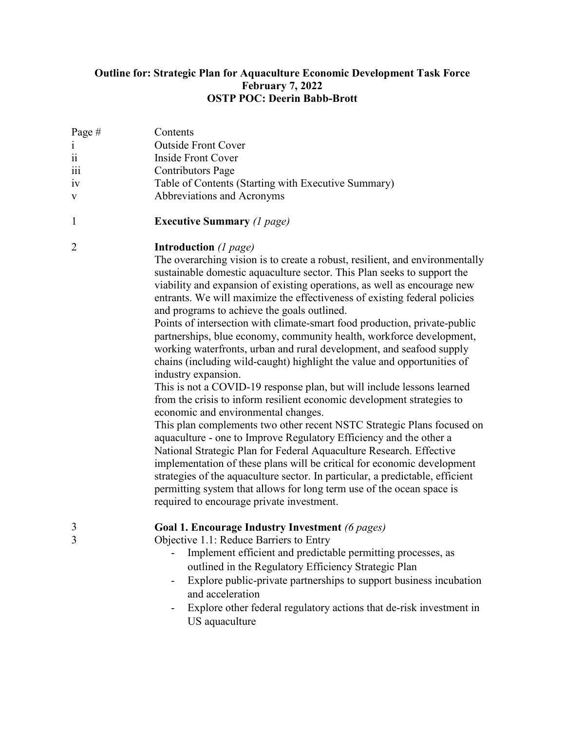## **Outline for: Strategic Plan for Aquaculture Economic Development Task Force February 7, 2022 OSTP POC: Deerin Babb-Brott**

| Page $#$<br>$\mathbf{i}$<br>$\ddot{\rm n}$ | Contents<br><b>Outside Front Cover</b>                                            |
|--------------------------------------------|-----------------------------------------------------------------------------------|
| iii                                        | Inside Front Cover<br><b>Contributors Page</b>                                    |
| iv<br>V                                    | Table of Contents (Starting with Executive Summary)<br>Abbreviations and Acronyms |

1 **Executive Summary** *(1 page)* 

## 2 **Introduction** *(1 page)*

The overarching vision is to create a robust, resilient, and environmentally sustainable domestic aquaculture sector. This Plan seeks to support the viability and expansion of existing operations, as well as encourage new entrants. We will maximize the effectiveness of existing federal policies and programs to achieve the goals outlined.

Points of intersection with climate-smart food production, private-public partnerships, blue economy, community health, workforce development, working waterfronts, urban and rural development, and seafood supply chains (including wild-caught) highlight the value and opportunities of industry expansion.

This is not a COVID-19 response plan, but will include lessons learned from the crisis to inform resilient economic development strategies to economic and environmental changes.

This plan complements two other recent NSTC Strategic Plans focused on aquaculture - one to Improve Regulatory Efficiency and the other a National Strategic Plan for Federal Aquaculture Research. Effective implementation of these plans will be critical for economic development strategies of the aquaculture sector. In particular, a predictable, efficient permitting system that allows for long term use of the ocean space is required to encourage private investment.

## 3 **Goal 1. Encourage Industry Investment** *(6 pages)*

- 3 Objective 1.1: Reduce Barriers to Entry
	- Implement efficient and predictable permitting processes, as outlined in the Regulatory Efficiency Strategic Plan
	- Explore public-private partnerships to support business incubation and acceleration
	- Explore other federal regulatory actions that de-risk investment in US aquaculture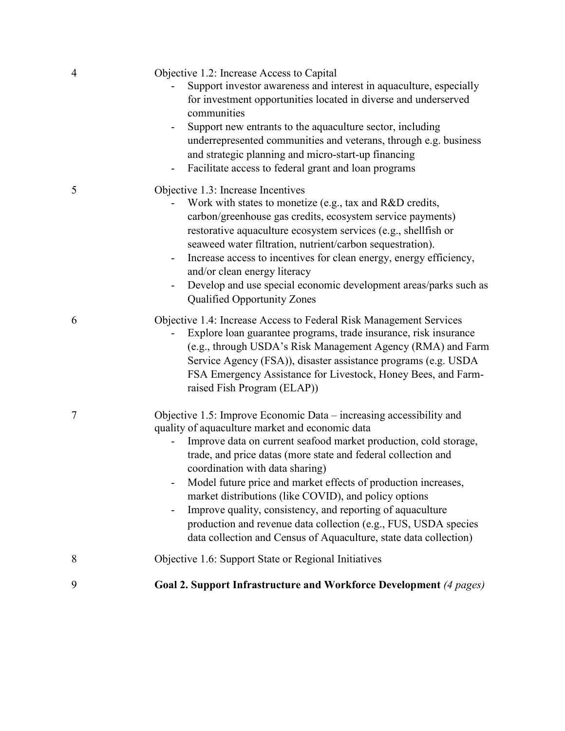| 4 | Objective 1.2: Increase Access to Capital<br>Support investor awareness and interest in aquaculture, especially<br>for investment opportunities located in diverse and underserved<br>communities                                                                                                                                                                                                                                                                                                                                                                                                                                    |
|---|--------------------------------------------------------------------------------------------------------------------------------------------------------------------------------------------------------------------------------------------------------------------------------------------------------------------------------------------------------------------------------------------------------------------------------------------------------------------------------------------------------------------------------------------------------------------------------------------------------------------------------------|
|   | Support new entrants to the aquaculture sector, including<br>underrepresented communities and veterans, through e.g. business<br>and strategic planning and micro-start-up financing<br>Facilitate access to federal grant and loan programs<br>۰                                                                                                                                                                                                                                                                                                                                                                                    |
| 5 | Objective 1.3: Increase Incentives<br>Work with states to monetize (e.g., tax and R&D credits,<br>carbon/greenhouse gas credits, ecosystem service payments)<br>restorative aquaculture ecosystem services (e.g., shellfish or<br>seaweed water filtration, nutrient/carbon sequestration).<br>Increase access to incentives for clean energy, energy efficiency,<br>and/or clean energy literacy<br>Develop and use special economic development areas/parks such as<br><b>Qualified Opportunity Zones</b>                                                                                                                          |
| 6 | Objective 1.4: Increase Access to Federal Risk Management Services<br>Explore loan guarantee programs, trade insurance, risk insurance<br>(e.g., through USDA's Risk Management Agency (RMA) and Farm<br>Service Agency (FSA)), disaster assistance programs (e.g. USDA<br>FSA Emergency Assistance for Livestock, Honey Bees, and Farm-<br>raised Fish Program (ELAP))                                                                                                                                                                                                                                                              |
| 7 | Objective 1.5: Improve Economic Data - increasing accessibility and<br>quality of aquaculture market and economic data<br>Improve data on current seafood market production, cold storage,<br>trade, and price datas (more state and federal collection and<br>coordination with data sharing)<br>Model future price and market effects of production increases,<br>market distributions (like COVID), and policy options<br>Improve quality, consistency, and reporting of aquaculture<br>-<br>production and revenue data collection (e.g., FUS, USDA species<br>data collection and Census of Aquaculture, state data collection) |
| 8 | Objective 1.6: Support State or Regional Initiatives                                                                                                                                                                                                                                                                                                                                                                                                                                                                                                                                                                                 |
| 9 | Goal 2. Support Infrastructure and Workforce Development (4 pages)                                                                                                                                                                                                                                                                                                                                                                                                                                                                                                                                                                   |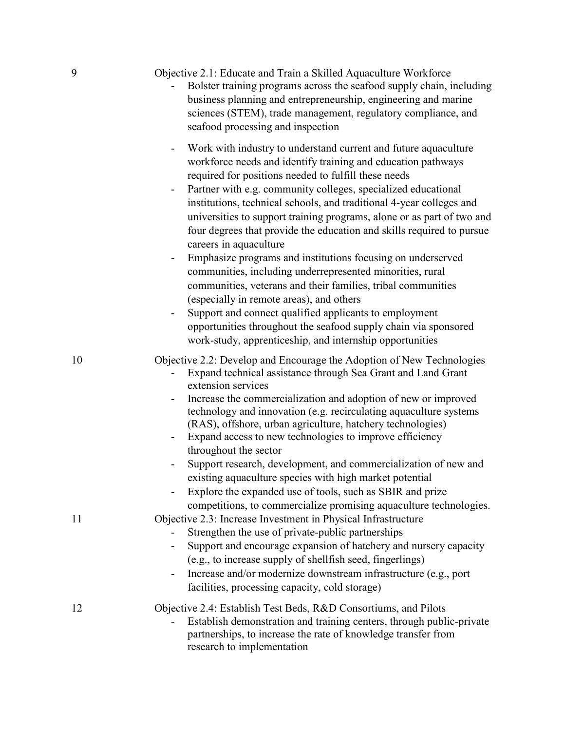| Objective 2.1: Educate and Train a Skilled Aquaculture Workforce |
|------------------------------------------------------------------|
|------------------------------------------------------------------|

| - Bolster training programs across the seafood supply chain, including |
|------------------------------------------------------------------------|
| business planning and entrepreneurship, engineering and marine         |
| sciences (STEM), trade management, regulatory compliance, and          |
| seafood processing and inspection                                      |

- Work with industry to understand current and future aquaculture workforce needs and identify training and education pathways required for positions needed to fulfill these needs
- institutions, technical schools, and traditional 4-year colleges and - Partner with e.g. community colleges, specialized educational universities to support training programs, alone or as part of two and four degrees that provide the education and skills required to pursue careers in aquaculture
- communities, including underrepresented minorities, rural Emphasize programs and institutions focusing on underserved communities, veterans and their families, tribal communities (especially in remote areas), and others
- Support and connect qualified applicants to employment opportunities throughout the seafood supply chain via sponsored work-study, apprenticeship, and internship opportunities

10 Objective 2.2: Develop and Encourage the Adoption of New Technologies

- - Expand technical assistance through Sea Grant and Land Grant extension services
- Increase the commercialization and adoption of new or improved technology and innovation (e.g. recirculating aquaculture systems (RAS), offshore, urban agriculture, hatchery technologies)
- Expand access to new technologies to improve efficiency throughout the sector
- Support research, development, and commercialization of new and existing aquaculture species with high market potential
- - Explore the expanded use of tools, such as SBIR and prize competitions, to commercialize promising aquaculture technologies.
- 11 Objective 2.3: Increase Investment in Physical Infrastructure
	- Strengthen the use of private-public partnerships
	- Support and encourage expansion of hatchery and nursery capacity (e.g., to increase supply of shellfish seed, fingerlings)
	- Increase and/or modernize downstream infrastructure (e.g., port facilities, processing capacity, cold storage)

12 Objective 2.4: Establish Test Beds, R&D Consortiums, and Pilots

- Establish demonstration and training centers, through public-private partnerships, to increase the rate of knowledge transfer from research to implementation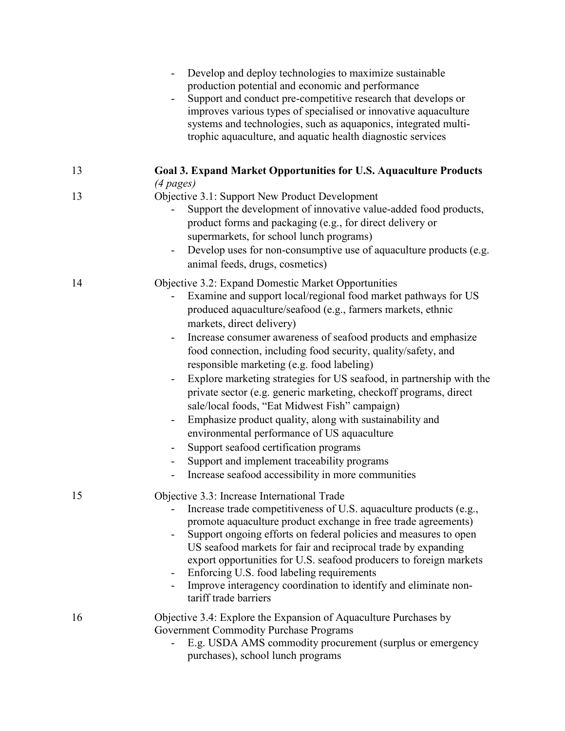|    | Develop and deploy technologies to maximize sustainable<br>production potential and economic and performance<br>Support and conduct pre-competitive research that develops or<br>improves various types of specialised or innovative aquaculture<br>systems and technologies, such as aquaponics, integrated multi-<br>trophic aquaculture, and aquatic health diagnostic services                                                                                                                                                                                                                                                                                                                                                                                                                                                                                                                                                                                                               |
|----|--------------------------------------------------------------------------------------------------------------------------------------------------------------------------------------------------------------------------------------------------------------------------------------------------------------------------------------------------------------------------------------------------------------------------------------------------------------------------------------------------------------------------------------------------------------------------------------------------------------------------------------------------------------------------------------------------------------------------------------------------------------------------------------------------------------------------------------------------------------------------------------------------------------------------------------------------------------------------------------------------|
| 13 | <b>Goal 3. Expand Market Opportunities for U.S. Aquaculture Products</b><br>$(4$ pages)                                                                                                                                                                                                                                                                                                                                                                                                                                                                                                                                                                                                                                                                                                                                                                                                                                                                                                          |
| 13 | Objective 3.1: Support New Product Development<br>Support the development of innovative value-added food products,<br>product forms and packaging (e.g., for direct delivery or<br>supermarkets, for school lunch programs)<br>Develop uses for non-consumptive use of aquaculture products (e.g.<br>$\overline{\phantom{a}}$<br>animal feeds, drugs, cosmetics)                                                                                                                                                                                                                                                                                                                                                                                                                                                                                                                                                                                                                                 |
| 14 | Objective 3.2: Expand Domestic Market Opportunities<br>Examine and support local/regional food market pathways for US<br>produced aquaculture/seafood (e.g., farmers markets, ethnic<br>markets, direct delivery)<br>Increase consumer awareness of seafood products and emphasize<br>$\overline{\phantom{a}}$<br>food connection, including food security, quality/safety, and<br>responsible marketing (e.g. food labeling)<br>Explore marketing strategies for US seafood, in partnership with the<br>$\blacksquare$<br>private sector (e.g. generic marketing, checkoff programs, direct<br>sale/local foods, "Eat Midwest Fish" campaign)<br>Emphasize product quality, along with sustainability and<br>$\overline{\phantom{a}}$<br>environmental performance of US aquaculture<br>Support seafood certification programs<br>$\qquad \qquad \blacksquare$<br>Support and implement traceability programs<br>$\overline{\phantom{a}}$<br>Increase seafood accessibility in more communities |
| 15 | Objective 3.3: Increase International Trade<br>Increase trade competitiveness of U.S. aquaculture products (e.g.,<br>promote aquaculture product exchange in free trade agreements)<br>Support ongoing efforts on federal policies and measures to open<br>US seafood markets for fair and reciprocal trade by expanding<br>export opportunities for U.S. seafood producers to foreign markets<br>Enforcing U.S. food labeling requirements<br>۰<br>Improve interagency coordination to identify and eliminate non-<br>tariff trade barriers                                                                                                                                                                                                                                                                                                                                                                                                                                                     |
| 16 | Objective 3.4: Explore the Expansion of Aquaculture Purchases by<br><b>Government Commodity Purchase Programs</b><br>E.g. USDA AMS commodity procurement (surplus or emergency<br>purchases), school lunch programs                                                                                                                                                                                                                                                                                                                                                                                                                                                                                                                                                                                                                                                                                                                                                                              |